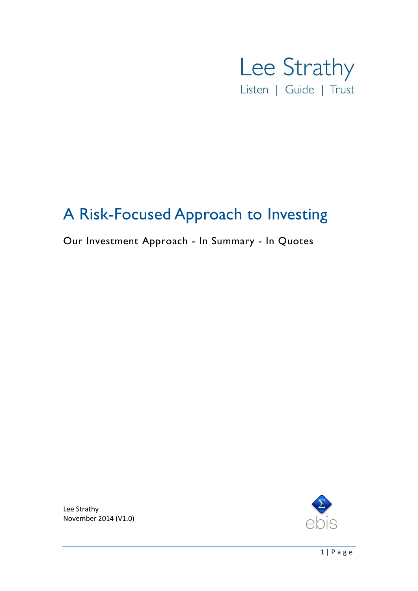

# A Risk-Focused Approach to Investing

# Our Investment Approach - In Summary - In Quotes



Lee Strathy November 2014 (V1.0)

1 | P a g e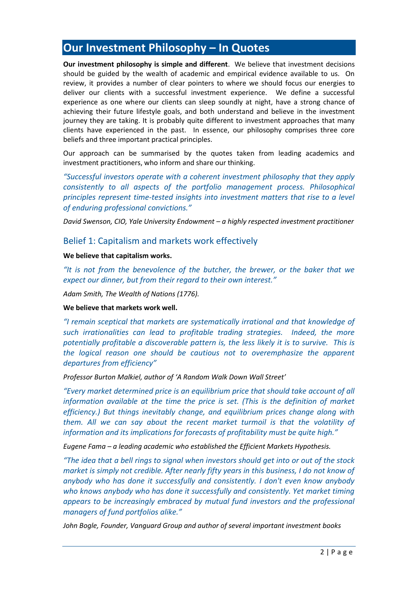# **Our Investment Philosophy – In Quotes**

**Our investment philosophy is simple and different**. We believe that investment decisions should be guided by the wealth of academic and empirical evidence available to us. On review, it provides a number of clear pointers to where we should focus our energies to deliver our clients with a successful investment experience. We define a successful experience as one where our clients can sleep soundly at night, have a strong chance of achieving their future lifestyle goals, and both understand and believe in the investment journey they are taking. It is probably quite different to investment approaches that many clients have experienced in the past. In essence, our philosophy comprises three core beliefs and three important practical principles.

Our approach can be summarised by the quotes taken from leading academics and investment practitioners, who inform and share our thinking.

*"Successful investors operate with a coherent investment philosophy that they apply consistently to all aspects of the portfolio management process. Philosophical principles represent time-tested insights into investment matters that rise to a level of enduring professional convictions."* 

*David Swenson, CIO, Yale University Endowment - a highly respected investment practitioner* 

## Belief 1: Capitalism and markets work effectively

#### **We believe that capitalism works.**

*"It is not from the benevolence of the butcher, the brewer, or the baker that we expect our dinner, but from their regard to their own interest."*

*Adam Smith, The Wealth of Nations (1776).*

#### **We believe that markets work well.**

*"I remain sceptical that markets are systematically irrational and that knowledge of such irrationalities can lead to profitable trading strategies. Indeed, the more potentially profitable a discoverable pattern is, the less likely it is to survive. This is the logical reason one should be cautious not to overemphasize the apparent departures from efficiency"* 

*Professor Burton Malkiel, author of 'A Random Walk Down Wall Street'*

*"Every market determined price is an equilibrium price that should take account of all information available at the time the price is set. (This is the definition of market efficiency.) But things inevitably change, and equilibrium prices change along with them. All we can say about the recent market turmoil is that the volatility of information and its implications for forecasts of profitability must be quite high."*

*Eugene Fama – a leading academic who established the Efficient Markets Hypothesis.*

*"The idea that a bell rings to signal when investors should get into or out of the stock market is simply not credible. After nearly fifty years in this business, I do not know of anybody who has done it successfully and consistently. I don't even know anybody who knows anybody who has done it successfully and consistently. Yet market timing appears to be increasingly embraced by mutual fund investors and the professional managers of fund portfolios alike."*

*John Bogle, Founder, Vanguard Group and author of several important investment books*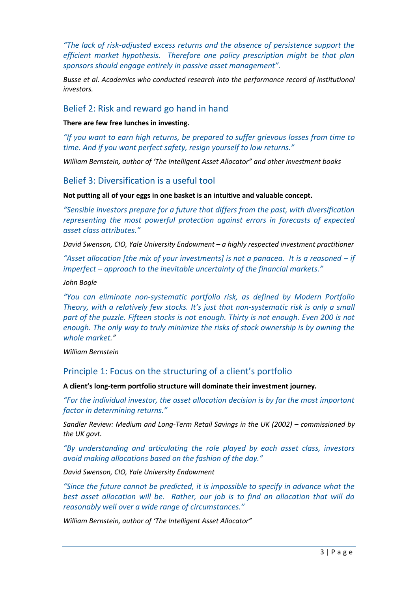*"The lack of risk-adjusted excess returns and the absence of persistence support the efficient market hypothesis. Therefore one policy prescription might be that plan sponsors should engage entirely in passive asset management".*

*Busse et al. Academics who conducted research into the performance record of institutional investors.* 

## Belief 2: Risk and reward go hand in hand

#### **There are few free lunches in investing.**

*"If you want to earn high returns, be prepared to suffer grievous losses from time to time. And if you want perfect safety, resign yourself to low returns."*

*William Bernstein, author of 'The Intelligent Asset Allocator" and other investment books*

# Belief 3: Diversification is a useful tool

#### **Not putting all of your eggs in one basket is an intuitive and valuable concept.**

*"Sensible investors prepare for a future that differs from the past, with diversification representing the most powerful protection against errors in forecasts of expected asset class attributes."*

*David Swenson, CIO, Yale University Endowment – a highly respected investment practitioner* 

*"Asset allocation [the mix of your investments] is not a panacea. It is a reasoned – if imperfect – approach to the inevitable uncertainty of the financial markets."*

*John Bogle*

*"You can eliminate non-systematic portfolio risk, as defined by Modern Portfolio Theory, with a relatively few stocks. It's just that non-systematic risk is only a small part of the puzzle. Fifteen stocks is not enough. Thirty is not enough. Even 200 is not enough. The only way to truly minimize the risks of stock ownership is by owning the whole market."*

*William Bernstein*

## Principle 1: Focus on the structuring of a client's portfolio

**A client's long-term portfolio structure will dominate their investment journey.**

*"For the individual investor, the asset allocation decision is by far the most important factor in determining returns."*

*Sandler Review: Medium and Long-Term Retail Savings in the UK (2002) – commissioned by the UK govt.*

*"By understanding and articulating the role played by each asset class, investors avoid making allocations based on the fashion of the day."*

*David Swenson, CIO, Yale University Endowment*

*"Since the future cannot be predicted, it is impossible to specify in advance what the best asset allocation will be. Rather, our job is to find an allocation that will do reasonably well over a wide range of circumstances."*

*William Bernstein, author of 'The Intelligent Asset Allocator"*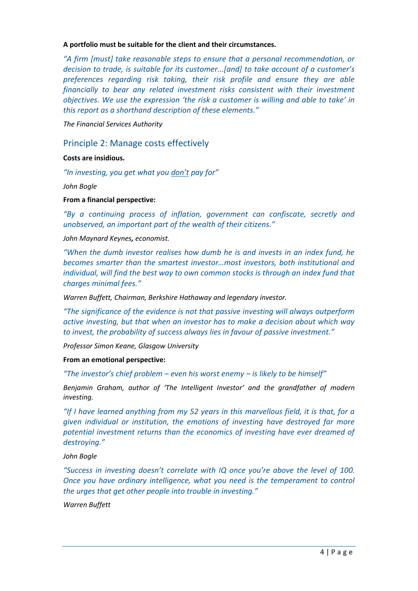#### **A portfolio must be suitable for the client and their circumstances.**

*"A firm [must] take reasonable steps to ensure that a personal recommendation, or decision to trade, is suitable for its customer...[and] to take account of a customer's preferences regarding risk taking, their risk profile and ensure they are able financially to bear any related investment risks consistent with their investment objectives. We use the expression 'the risk a customer is willing and able to take' in this report as a shorthand description of these elements."*

*The Financial Services Authority* 

## Principle 2: Manage costs effectively

**Costs are insidious.**

*"In investing, you get what you don't pay for"* 

*John Bogle*

**From a financial perspective:**

*"By a continuing process of inflation, government can confiscate, secretly and unobserved, an important part of the wealth of their citizens."* 

*John Maynard Keynes, economist.*

*"When the dumb investor realises how dumb he is and invests in an index fund, he becomes smarter than the smartest investor…most investors, both institutional and individual, will find the best way to own common stocks is through an index fund that charges minimal fees."*

*Warren Buffett, Chairman, Berkshire Hathaway and legendary investor.*

*"The significance of the evidence is not that passive investing will always outperform active investing, but that when an investor has to make a decision about which way to invest, the probability of success always lies in favour of passive investment."* 

*Professor Simon Keane, Glasgow University*

### **From an emotional perspective:**

*"The investor's chief problem – even his worst enemy – is likely to be himself"*

*Benjamin Graham, author of 'The Intelligent Investor' and the grandfather of modern investing.*

*"If I have learned anything from my 52 years in this marvellous field, it is that, for a given individual or institution, the emotions of investing have destroyed far more potential investment returns than the economics of investing have ever dreamed of destroying."*

*John Bogle*

"Success in investing doesn't correlate with IQ once you're above the level of 100. *Once you have ordinary intelligence, what you need is the temperament to control the urges that get other people into trouble in investing."*

*Warren Buffett*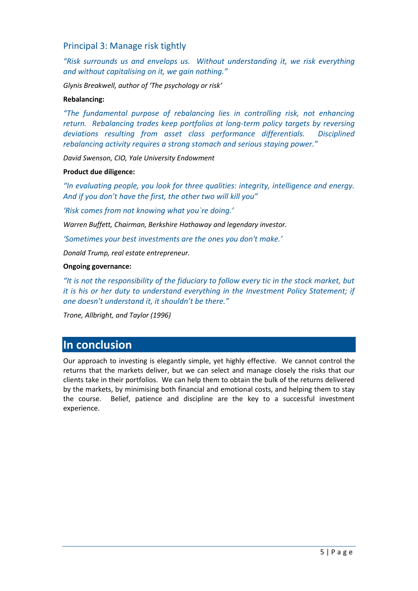# Principal 3: Manage risk tightly

*"Risk surrounds us and envelops us. Without understanding it, we risk everything and without capitalising on it, we gain nothing."*

*Glynis Breakwell, author of 'The psychology or risk'*

#### **Rebalancing:**

*"The fundamental purpose of rebalancing lies in controlling risk, not enhancing return. Rebalancing trades keep portfolios at long-term policy targets by reversing deviations resulting from asset class performance differentials. Disciplined rebalancing activity requires a strong stomach and serious staying power."*

*David Swenson, CIO, Yale University Endowment*

#### **Product due diligence:**

*"In evaluating people, you look for three qualities: integrity, intelligence and energy. And if you don't have the first, the other two will kill you"* 

*'Risk comes from not knowing what you`re doing.'* 

*Warren Buffett, Chairman, Berkshire Hathaway and legendary investor.*

*'Sometimes your best investments are the ones you don't make.'*

*Donald Trump, real estate entrepreneur.*

#### **Ongoing governance:**

*"It is not the responsibility of the fiduciary to follow every tic in the stock market, but it is his or her duty to understand everything in the Investment Policy Statement; if one doesn't understand it, it shouldn't be there."*

*Trone, Allbright, and Taylor (1996)*

# **In conclusion**

Our approach to investing is elegantly simple, yet highly effective. We cannot control the returns that the markets deliver, but we can select and manage closely the risks that our clients take in their portfolios. We can help them to obtain the bulk of the returns delivered by the markets, by minimising both financial and emotional costs, and helping them to stay the course. Belief, patience and discipline are the key to a successful investment experience.